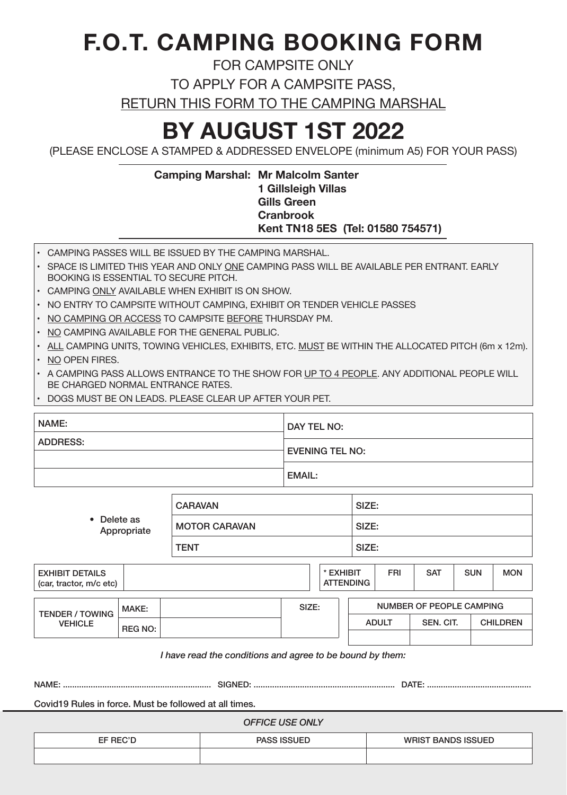#### **F.O.T. CAMPING BOOKING FORM**

FOR CAMPSITE ONLY

TO APPLY FOR A CAMPSITE PASS,

RETURN THIS FORM TO THE CAMPING MARSHAL

#### **BY AUGUST 1ST 2022**

(PLEASE ENCLOSE A STAMPED & ADDRESSED ENVELOPE (minimum A5) FOR YOUR PASS)

#### **Camping Marshal: Mr Malcolm Santer 1 Gillsleigh Villas Gills Green Cranbrook Kent TN18 5ES (Tel: 01580 754571)**

- CAMPING PASSES WILL BE ISSUED BY THE CAMPING MARSHAL.
- • SPACE IS LIMITED THIS YEAR AND ONLY ONE CAMPING PASS WILL BE AVAILABLE PER ENTRANT. EARLY BOOKING IS ESSENTIAL TO SECURE PITCH.
- CAMPING ONLY AVAILABLE WHEN EXHIBIT IS ON SHOW.
- • NO ENTRY TO CAMPSITE WITHOUT CAMPING, EXHIBIT OR TENDER VEHICLE PASSES
- NO CAMPING OR ACCESS TO CAMPSITE BEFORE THURSDAY PM.
- NO CAMPING AVAILABLE FOR THE GENERAL PUBLIC.
- ALL CAMPING UNITS, TOWING VEHICLES, EXHIBITS, ETC. MUST BE WITHIN THE ALLOCATED PITCH (6m x 12m).
- NO OPEN FIRES.
- A CAMPING PASS ALLOWS ENTRANCE TO THE SHOW FOR UP TO 4 PEOPLE. ANY ADDITIONAL PEOPLE WILL BE CHARGED NORMAL ENTRANCE RATES.
- DOGS MUST BE ON LEADS. PLEASE CLEAR UP AFTER YOUR PET.

| NAME:           | DAY TEL NO:            |  |  |
|-----------------|------------------------|--|--|
| <b>ADDRESS:</b> | <b>EVENING TEL NO:</b> |  |  |
|                 | <b>EMAIL:</b>          |  |  |

| • Delete as<br>Appropriate                        | <b>CARAVAN</b>       |                               | SIZE: |            |            |            |            |
|---------------------------------------------------|----------------------|-------------------------------|-------|------------|------------|------------|------------|
|                                                   | <b>MOTOR CARAVAN</b> |                               | SIZE: |            |            |            |            |
|                                                   | <b>TENT</b>          |                               | SIZE: |            |            |            |            |
| <b>EXHIBIT DETAILS</b><br>(car, tractor, m/c etc) |                      | * EXHIBIT<br><b>ATTENDING</b> |       | <b>FRI</b> | <b>SAT</b> | <b>SUN</b> | <b>MON</b> |

| <b>TENDER / TOWING</b> | MAKE:          |  | SIZE: | NUMBER OF PEOPLE CAMPING |           |                 |  |
|------------------------|----------------|--|-------|--------------------------|-----------|-----------------|--|
| <b>VEHICLE</b>         | <b>REG NO:</b> |  |       | <b>ADULT</b>             | SEN, CIT. | <b>CHILDREN</b> |  |
|                        |                |  |       |                          |           |                 |  |

*I have read the conditions and agree to be bound by them:* 

| <b>NAME</b> | ÷N′<br>. SP | $\sim$ $\sim$ $\sim$<br>. |
|-------------|-------------|---------------------------|
|             |             |                           |

Covid19 Rules in force. Must be followed at all times.

*OFFICE USE ONLY*

EF REC'D PASS ISSUED WRIST BANDS ISSUED